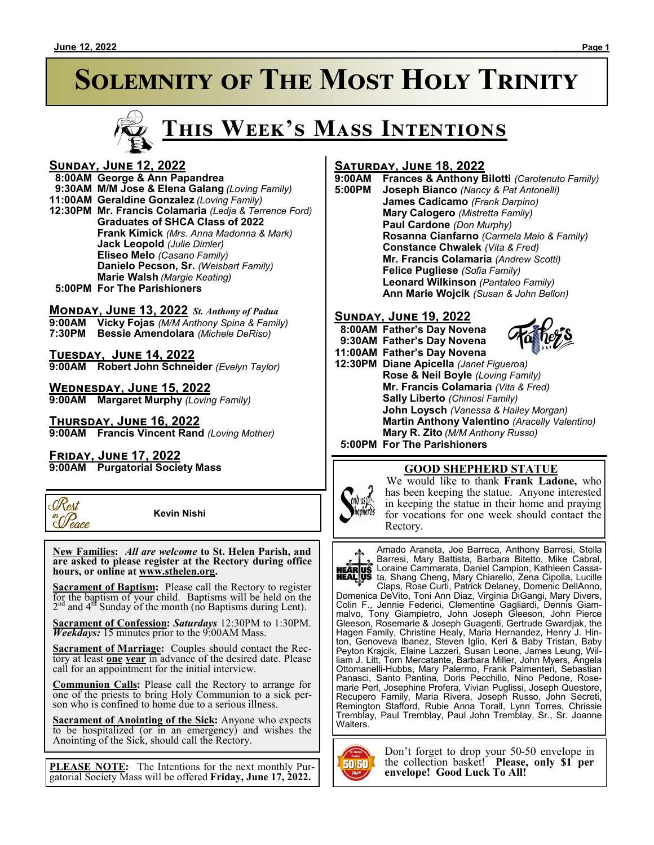# **SOLEMNITY OF THE MOST HOLY TRINITY**



#### **Sunday, June 12, 2022**

#### **8:00AM George & Ann Papandrea**

 **9:30AM M/M Jose & Elena Galang** *(Loving Family)*

- **11:00AM Geraldine Gonzalez** *(Loving Family)*
- **12:30PM Mr. Francis Colamaria** *(Ledja & Terrence Ford)* **Graduates of SHCA Class of 2022 Frank Kimick** *(Mrs. Anna Madonna & Mark)* **Jack Leopold** *(Julie Dimler)* **Eliseo Melo** *(Casano Family)* **Danielo Pecson, Sr.** *(Weisbart Family)* **Marie Walsh** *(Margie Keating)*
- **5:00PM For The Parishioners**

## **Monday, June 13, 2022** *St. Anthony of Padua*

**9:00AM Vicky Fojas** *(M/M Anthony Spina & Family)* **7:30PM Bessie Amendolara** *(Michele DeRiso)*

**Tuesday, June 14, 2022 9:00AM Robert John Schneider** *(Evelyn Taylor)*

**Wednesday, June 15, 2022 9:00AM Margaret Murphy** *(Loving Family)*

**Thursday, June 16, 2022 9:00AM Francis Vincent Rand** *(Loving Mother)*

#### **Friday, June 17, 2022**

**9:00AM Purgatorial Society Mass**



 **Kevin Nishi**

 **New Families:** *All are welcome* **to St. Helen Parish, and are asked to please register at the Rectory during office hours, or online at www.sthelen.org.**

**Sacrament of Baptism:**Please call the Rectory to register for the baptism of your child. Baptisms will be held on the  $2<sup>nd</sup>$  and  $4<sup>df</sup>$  Sunday of the month (no Baptisms during Lent).

**Sacrament of Confession:** *Saturdays* 12:30PM to 1:30PM. *Weekdays:* 15 minutes prior to the 9:00AM Mass.

**Sacrament of Marriage:**Couples should contact the Rectory at least **one year** in advance of the desired date. Please call for an appointment for the initial interview.

**Communion Calls:** Please call the Rectory to arrange for one of the priests to bring Holy Communion to a sick person who is confined to home due to a serious illness.

**Sacrament of Anointing of the Sick:** Anyone who expects to be hospitalized (or in an emergency) and wishes the Anointing of the Sick, should call the Rectory.

**PLEASE NOTE:** The Intentions for the next monthly Purgatorial Society Mass will be offered **Friday, June 17, 2022.**

#### **Saturday, June 18, 2022**

**9:00AM Frances & Anthony Bilotti** *(Carotenuto Family)*

**5:00PM Joseph Bianco** *(Nancy & Pat Antonelli)* **James Cadicamo** *(Frank Darpino)* **Mary Calogero** *(Mistretta Family)* **Paul Cardone** *(Don Murphy)* **Rosanna Cianfarno** *(Carmela Maio & Family)* **Constance Chwalek** *(Vita & Fred)* **Mr. Francis Colamaria** *(Andrew Scotti)* **Felice Pugliese** *(Sofia Family)* **Leonard Wilkinson** *(Pantaleo Family)* **Ann Marie Wojcik** *(Susan & John Bellon)*

#### **Sunday, June 19, 2022**

 **8:00AM Father's Day Novena 9:30AM Father's Day Novena 11:00AM Father's Day Novena 12:30PM Diane Apicella** *(Janet Figueroa)* **Rose & Neil Boyle** *(Loving Family)* **Mr. Francis Colamaria** *(Vita & Fred)* **Sally Liberto** *(Chinosi Family)* **John Loysch** *(Vanessa & Hailey Morgan)* **Martin Anthony Valentino** *(Aracelly Valentino)* **Mary R. Zito** *(M/M Anthony Russo)*  **5:00PM For The Parishioners**

#### **GOOD SHEPHERD STATUE**

We would like to thank **Frank Ladone,** who has been keeping the statue. Anyone interested in keeping the statue in their home and praying for vocations for one week should contact the Rectory.

Amado Araneta, Joe Barreca, Anthony Barresi, Stella Barresi, Mary Battista, Barbara Bitetto, Mike Cabral, Loraine Cammarata, Daniel Campion, Kathleen Cassata, Shang Cheng, Mary Chiarello, Zena Cipolla, Lucille

Claps, Rose Curti, Patrick Delaney, Domenic DellAnno, Domenica DeVito, Toni Ann Diaz, Virginia DiGangi, Mary Divers, Colin F., Jennie Federici, Clementine Gagliardi, Dennis Giammalvo, Tony Giampietro, John Joseph Gleeson, John Pierce Gleeson, Rosemarie & Joseph Guagenti, Gertrude Gwardjak, the Hagen Family, Christine Healy, Maria Hernandez, Henry J. Hinton, Genoveva Ibanez, Steven Iglio, Keri & Baby Tristan, Baby Peyton Krajcik, Elaine Lazzeri, Susan Leone, James Leung, William J. Litt, Tom Mercatante, Barbara Miller, John Myers, Angela Ottomanelli-Hubbs, Mary Palermo, Frank Palmenteri, Sebastian Panasci, Santo Pantina, Doris Pecchillo, Nino Pedone, Rosemarie Perl, Josephine Profera, Vivian Puglissi, Joseph Questore, Recupero Family, Maria Rivera, Joseph Russo, John Secreti, Remington Stafford, Rubie Anna Torall, Lynn Torres, Chrissie Tremblay, Paul Tremblay, Paul John Tremblay, Sr., Sr. Joanne Walters.



Don't forget to drop your 50-50 envelope in the collection basket! **Please, only \$1 per envelope! Good Luck To All!**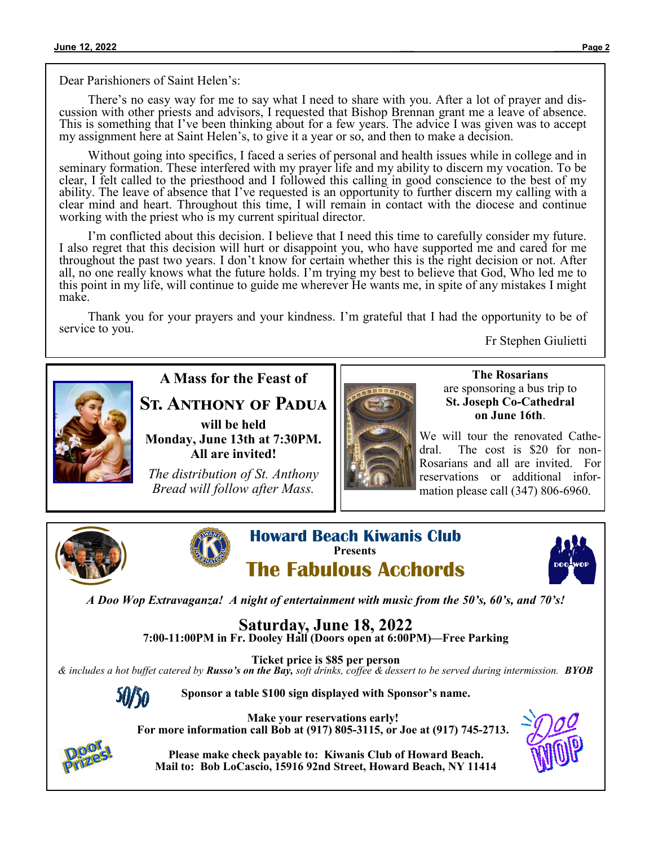Dear Parishioners of Saint Helen's:

There's no easy way for me to say what I need to share with you. After a lot of prayer and discussion with other priests and advisors, I requested that Bishop Brennan grant me a leave of absence. This is something that I've been thinking about for a few years. The advice I was given was to accept my assignment here at Saint Helen's, to give it a year or so, and then to make a decision.

Without going into specifics, I faced a series of personal and health issues while in college and in seminary formation. These interfered with my prayer life and my ability to discern my vocation. To be clear, I felt called to the priesthood and I followed this calling in good conscience to the best of my ability. The leave of absence that I've requested is an opportunity to further discern my calling with a clear mind and heart. Throughout this time, I will remain in contact with the diocese and continue working with the priest who is my current spiritual director.

I'm conflicted about this decision. I believe that I need this time to carefully consider my future. I also regret that this decision will hurt or disappoint you, who have supported me and cared for me throughout the past two years. I don't know for certain whether this is the right decision or not. After all, no one really knows what the future holds. I'm trying my best to believe that God, Who led me to this point in my life, will continue to guide me wherever He wants me, in spite of any mistakes I might make.

Thank you for your prayers and your kindness. I'm grateful that I had the opportunity to be of service to you. Fr Stephen Giulietti



### **A Mass for the Feast of**

**St. Anthony of Padua**

**will be held Monday, June 13th at 7:30PM. All are invited!**

*The distribution of St. Anthony Bread will follow after Mass.*



**The Rosarians** are sponsoring a bus trip to **St. Joseph Co-Cathedral on June 16th**.

We will tour the renovated Cathedral. The cost is \$20 for non-Rosarians and all are invited. For reservations or additional information please call (347) 806-6960.





**Howard Beach Kiwanis Club Presents The Fabulous Acchords**



*A Doo Wop Extravaganza! A night of entertainment with music from the 50's, 60's, and 70's!*

**Saturday, June 18, 2022 7:00-11:00PM in Fr. Dooley Hall (Doors open at 6:00PM)—Free Parking**

**Ticket price is \$85 per person** *& includes a hot buffet catered by Russo's on the Bay, soft drinks, coffee & dessert to be served during intermission. BYOB*

**Sponsor a table \$100 sign displayed with Sponsor's name.**

**Make your reservations early! For more information call Bob at (917) 805-3115, or Joe at (917) 745-2713.**



**Please make check payable to: Kiwanis Club of Howard Beach. Mail to: Bob LoCascio, 15916 92nd Street, Howard Beach, NY 11414**

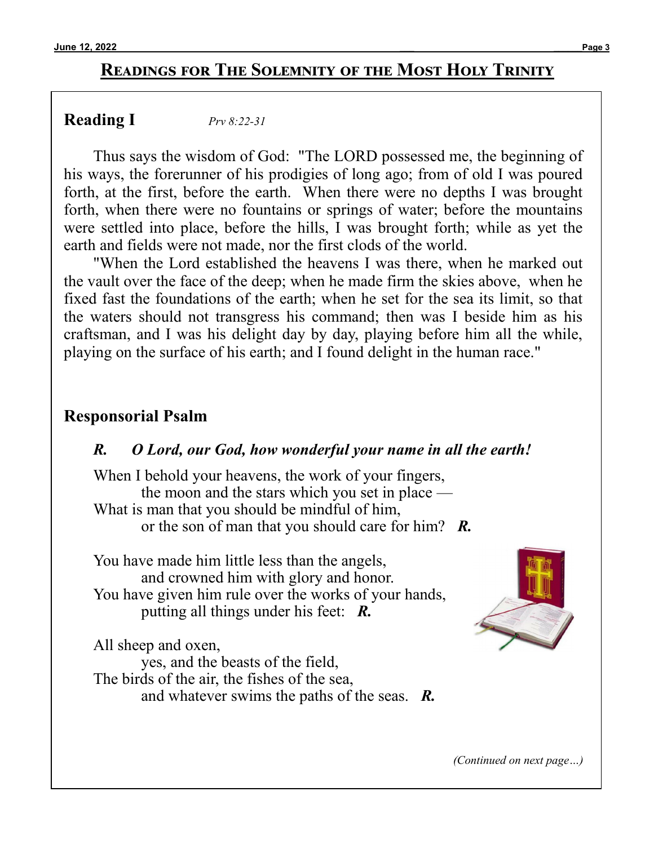### **Readings for The Solemnity of the Most Holy Trinity**

### **Reading I** *[Prv 8:22](https://bible.usccb.org/bible/proverbs/8?22)-<sup>31</sup>*

Thus says the wisdom of God: "The LORD possessed me, the beginning of his ways, the forerunner of his prodigies of long ago; from of old I was poured forth, at the first, before the earth. When there were no depths I was brought forth, when there were no fountains or springs of water; before the mountains were settled into place, before the hills, I was brought forth; while as yet the earth and fields were not made, nor the first clods of the world.

"When the Lord established the heavens I was there, when he marked out the vault over the face of the deep; when he made firm the skies above, when he fixed fast the foundations of the earth; when he set for the sea its limit, so that the waters should not transgress his command; then was I beside him as his craftsman, and I was his delight day by day, playing before him all the while, playing on the surface of his earth; and I found delight in the human race."

#### **Responsorial Psalm**

#### *R. O Lord, our God, how wonderful your name in all the earth!*

When I behold your heavens, the work of your fingers, the moon and the stars which you set in place — What is man that you should be mindful of him, or the son of man that you should care for him? *R.*

You have made him little less than the angels, and crowned him with glory and honor. You have given him rule over the works of your hands, putting all things under his feet: *R.*

All sheep and oxen,

 yes, and the beasts of the field, The birds of the air, the fishes of the sea, and whatever swims the paths of the seas. *R.*



*(Continued on next page…)*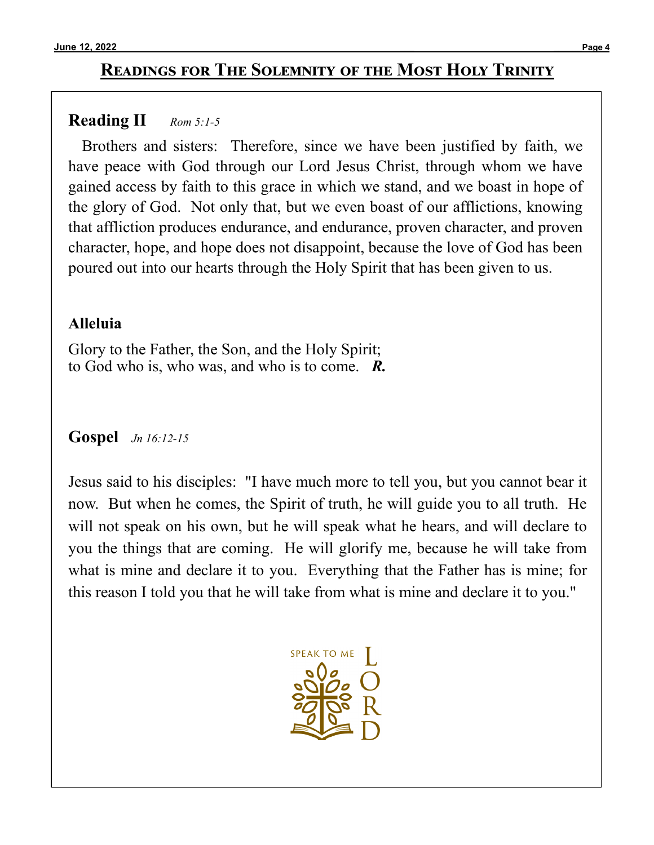## **Readings for The Solemnity of the Most Holy Trinity**

## **Reading II** *[Rom 5:1](https://bible.usccb.org/bible/romans/5?1)-<sup>5</sup>*

Brothers and sisters: Therefore, since we have been justified by faith, we have peace with God through our Lord Jesus Christ, through whom we have gained access by faith to this grace in which we stand, and we boast in hope of the glory of God. Not only that, but we even boast of our afflictions, knowing that affliction produces endurance, and endurance, proven character, and proven character, hope, and hope does not disappoint, because the love of God has been poured out into our hearts through the Holy Spirit that has been given to us.

## **Alleluia**

Glory to the Father, the Son, and the Holy Spirit; to God who is, who was, and who is to come. *R.*

## **Gospel** *[Jn 16:12](https://bible.usccb.org/bible/john/16?12)-<sup>15</sup>*

Jesus said to his disciples: "I have much more to tell you, but you cannot bear it now. But when he comes, the Spirit of truth, he will guide you to all truth. He will not speak on his own, but he will speak what he hears, and will declare to you the things that are coming. He will glorify me, because he will take from what is mine and declare it to you. Everything that the Father has is mine; for this reason I told you that he will take from what is mine and declare it to you."